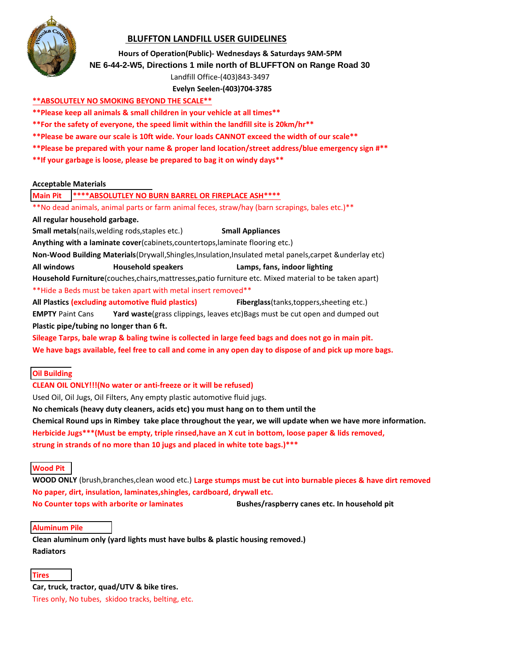

## **BLUFFTON LANDFILL USER GUIDELINES**

#### **Hours of Operation(Public)- Wednesdays & Saturdays 9AM-5PM**

#### **NE 6-44-2-W5, Directions 1 mile north of BLUFFTON on Range Road 30**

Landfill Office-(403)843-3497

**Evelyn Seelen-(403)704-3785**

#### **\*\*ABSOLUTELY NO SMOKING BEYOND THE SCALE\*\***

- **\*\*Please keep all animals & small children in your vehicle at all times\*\***
- **\*\*For the safety of everyone, the speed limit within the landfill site is 20km/hr\*\***
- **\*\*Please be aware our scale is 10ft wide. Your loads CANNOT exceed the width of our scale\*\***
- **\*\*Please be prepared with your name & proper land location/street address/blue emergency sign #\*\***
- **\*\*If your garbage is loose, please be prepared to bag it on windy days\*\***

#### **Acceptable Materials**

#### **Main Pit \*\*\*\*ABSOLUTLEY NO BURN BARREL OR FIREPLACE ASH\*\*\*\***

\*\*No dead animals, animal parts or farm animal feces, straw/hay (barn scrapings, bales etc.)\*\* **All regular household garbage.**

**Small metals**(nails, welding rods, staples etc.) **Small Appliances** 

**Anything with a laminate cover**(cabinets,countertops,laminate flooring etc.)

**Non-Wood Building Materials**(Drywall,Shingles,Insulation,Insulated metal panels,carpet &underlay etc)

**All windows Household speakers Lamps, fans, indoor lighting**

**Household Furniture**(couches,chairs,mattresses,patio furniture etc. Mixed material to be taken apart)

\*\*Hide a Beds must be taken apart with metal insert removed\*\*

**All Plastics (excluding automotive fluid plastics) Fiberglass**(tanks,toppers,sheeting etc.) **EMPTY** Paint Cans **Yard waste**(grass clippings, leaves etc)Bags must be cut open and dumped out **Plastic pipe/tubing no longer than 6 ft.**

**Sileage Tarps, bale wrap & baling twine is collected in large feed bags and does not go in main pit. We have bags available, feel free to call and come in any open day to dispose of and pick up more bags.**

#### **Oil Building**

#### **CLEAN OIL ONLY!!!(No water or anti-freeze or it will be refused)**

Used Oil, Oil Jugs, Oil Filters, Any empty plastic automotive fluid jugs.

**No chemicals (heavy duty cleaners, acids etc) you must hang on to them until the** 

**Chemical Round ups in Rimbey take place throughout the year, we will update when we have more information. Herbicide Jugs\*\*\*(Must be empty, triple rinsed,have an X cut in bottom, loose paper & lids removed, strung in strands of no more than 10 jugs and placed in white tote bags.)\*\*\***

#### **Wood Pit**

**WOOD ONLY** (brush,branches,clean wood etc.) **Large stumps must be cut into burnable pieces & have dirt removed No paper, dirt, insulation, laminates,shingles, cardboard, drywall etc.**

**No Counter tops with arborite or laminates Bushes/raspberry canes etc. In household pit**

#### **Aluminum Pile**

**Clean aluminum only (yard lights must have bulbs & plastic housing removed.) Radiators**

#### **Tires**

**Car, truck, tractor, quad/UTV & bike tires.** Tires only, No tubes, skidoo tracks, belting, etc.